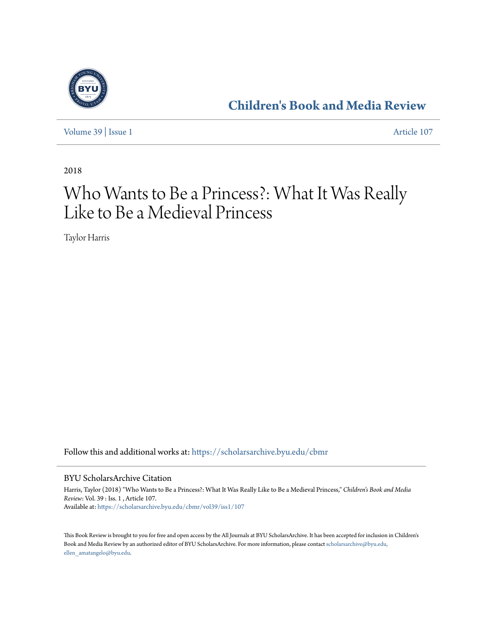

**[Children's Book and Media Review](https://scholarsarchive.byu.edu/cbmr?utm_source=scholarsarchive.byu.edu%2Fcbmr%2Fvol39%2Fiss1%2F107&utm_medium=PDF&utm_campaign=PDFCoverPages)**

[Volume 39](https://scholarsarchive.byu.edu/cbmr/vol39?utm_source=scholarsarchive.byu.edu%2Fcbmr%2Fvol39%2Fiss1%2F107&utm_medium=PDF&utm_campaign=PDFCoverPages) | [Issue 1](https://scholarsarchive.byu.edu/cbmr/vol39/iss1?utm_source=scholarsarchive.byu.edu%2Fcbmr%2Fvol39%2Fiss1%2F107&utm_medium=PDF&utm_campaign=PDFCoverPages) [Article 107](https://scholarsarchive.byu.edu/cbmr/vol39/iss1/107?utm_source=scholarsarchive.byu.edu%2Fcbmr%2Fvol39%2Fiss1%2F107&utm_medium=PDF&utm_campaign=PDFCoverPages)

2018

# Who Wants to Be a Princess?: What It Was Really Like to Be a Medieval Princess

Taylor Harris

Follow this and additional works at: [https://scholarsarchive.byu.edu/cbmr](https://scholarsarchive.byu.edu/cbmr?utm_source=scholarsarchive.byu.edu%2Fcbmr%2Fvol39%2Fiss1%2F107&utm_medium=PDF&utm_campaign=PDFCoverPages)

#### BYU ScholarsArchive Citation

Harris, Taylor (2018) "Who Wants to Be a Princess?: What It Was Really Like to Be a Medieval Princess," *Children's Book and Media Review*: Vol. 39 : Iss. 1 , Article 107. Available at: [https://scholarsarchive.byu.edu/cbmr/vol39/iss1/107](https://scholarsarchive.byu.edu/cbmr/vol39/iss1/107?utm_source=scholarsarchive.byu.edu%2Fcbmr%2Fvol39%2Fiss1%2F107&utm_medium=PDF&utm_campaign=PDFCoverPages)

This Book Review is brought to you for free and open access by the All Journals at BYU ScholarsArchive. It has been accepted for inclusion in Children's Book and Media Review by an authorized editor of BYU ScholarsArchive. For more information, please contact [scholarsarchive@byu.edu,](mailto:scholarsarchive@byu.edu,%20ellen_amatangelo@byu.edu) [ellen\\_amatangelo@byu.edu.](mailto:scholarsarchive@byu.edu,%20ellen_amatangelo@byu.edu)